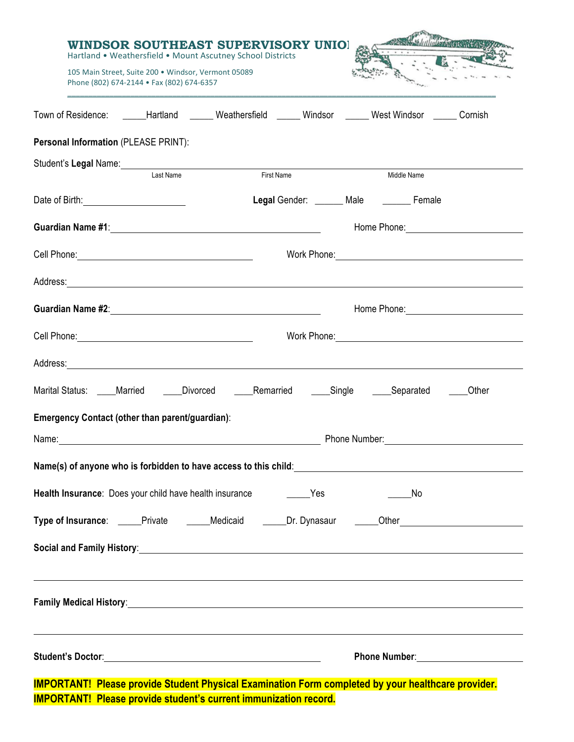|                                                                                                                |                                                                                                  | WINDSOR SOUTHEAST SUPERVISORY UNIO!                        |            |                                                                                                                                                                                                                                     |       |  |  |
|----------------------------------------------------------------------------------------------------------------|--------------------------------------------------------------------------------------------------|------------------------------------------------------------|------------|-------------------------------------------------------------------------------------------------------------------------------------------------------------------------------------------------------------------------------------|-------|--|--|
|                                                                                                                | 105 Main Street, Suite 200 · Windsor, Vermont 05089<br>Phone (802) 674-2144 • Fax (802) 674-6357 | Hartland . Weathersfield . Mount Ascutney School Districts |            |                                                                                                                                                                                                                                     |       |  |  |
|                                                                                                                |                                                                                                  |                                                            |            | Town of Residence: ______Hartland ______ Weathersfield ______ Windsor ______ West Windsor ______ Cornish                                                                                                                            |       |  |  |
| Personal Information (PLEASE PRINT):                                                                           |                                                                                                  |                                                            |            |                                                                                                                                                                                                                                     |       |  |  |
| Student's Legal Name: Manual Communication of Student's Legal Name:                                            |                                                                                                  |                                                            |            |                                                                                                                                                                                                                                     |       |  |  |
|                                                                                                                | Last Name                                                                                        |                                                            | First Name | Middle Name                                                                                                                                                                                                                         |       |  |  |
|                                                                                                                |                                                                                                  |                                                            |            | Legal Gender: ______ Male _______ Female                                                                                                                                                                                            |       |  |  |
| Guardian Name #1: Same and the Contract of the Contract of the Contract of the Contract of the Contract of the |                                                                                                  |                                                            |            | Home Phone: New York Contract Phone Phone: New York Contract Phone Phone Phone Phone Phone Phone Phone Phone P                                                                                                                      |       |  |  |
|                                                                                                                |                                                                                                  |                                                            |            | Work Phone: New York 2014                                                                                                                                                                                                           |       |  |  |
|                                                                                                                |                                                                                                  |                                                            |            | Address: Andreas Address: Address: Address: Address: Address: Address: Address: Address: Address: Address: Address: Address: Address: Address: Address: Address: Address: Address: Address: Address: Address: Address: Address      |       |  |  |
|                                                                                                                |                                                                                                  |                                                            |            | Home Phone: New York Contract Contract Contract Contract Contract Contract Contract Contract Contract Contract Contract Contract Contract Contract Contract Contract Contract Contract Contract Contract Contract Contract Con      |       |  |  |
| Cell Phone: New York Cell Phone:                                                                               |                                                                                                  |                                                            |            | Work Phone: Work 2008                                                                                                                                                                                                               |       |  |  |
|                                                                                                                |                                                                                                  |                                                            |            | Address: Andreas Address: Address: Address: Address: Address: Address: Address: Address: Address: Address: Address: Address: Address: Address: Address: Address: Address: Address: Address: Address: Address: Address: Address      |       |  |  |
|                                                                                                                |                                                                                                  |                                                            |            | Marital Status: ____Married _____Divorced _____Remarried _____Single _____Separated ____                                                                                                                                            | Other |  |  |
| <b>Emergency Contact (other than parent/guardian):</b>                                                         |                                                                                                  |                                                            |            |                                                                                                                                                                                                                                     |       |  |  |
|                                                                                                                |                                                                                                  |                                                            |            | Phone Number: <u>______________</u>                                                                                                                                                                                                 |       |  |  |
|                                                                                                                |                                                                                                  |                                                            |            | Name(s) of anyone who is forbidden to have access to this child: Name (s) of anyone who is forbidden to have access to this child:                                                                                                  |       |  |  |
|                                                                                                                |                                                                                                  |                                                            |            | No                                                                                                                                                                                                                                  |       |  |  |
|                                                                                                                |                                                                                                  |                                                            |            | Type of Insurance: _____Private ______Medicaid ______Dr. Dynasaur ______Other_______________________                                                                                                                                |       |  |  |
|                                                                                                                |                                                                                                  |                                                            |            |                                                                                                                                                                                                                                     |       |  |  |
|                                                                                                                |                                                                                                  |                                                            |            |                                                                                                                                                                                                                                     |       |  |  |
|                                                                                                                |                                                                                                  |                                                            |            | <b>Family Medical History:</b> And All Andrew Medical Andrew Medical Andrew Medical Andrew Medical Andrew Medical Andrew Medical Andrew Medical Andrew Medical Andrew Medical Andrew Medical Andrew Medical Andrew Medical Andrew M |       |  |  |
|                                                                                                                |                                                                                                  |                                                            |            |                                                                                                                                                                                                                                     |       |  |  |
|                                                                                                                |                                                                                                  |                                                            |            | Phone Number: National Assembly Phone Number:                                                                                                                                                                                       |       |  |  |
|                                                                                                                |                                                                                                  |                                                            |            | <b>IMPORTANTI, Please provide Student Physical Examination Form completed by your healthcare provider</b>                                                                                                                           |       |  |  |

**IMPORTANT! Please provide Student Physical Examination Form completed by your healthcare provider. IMPORTANT! Please provide student's current immunization record.**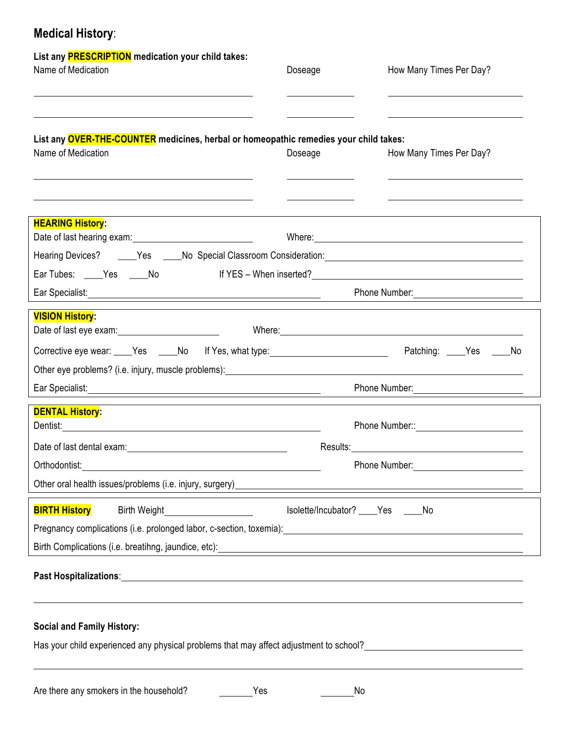## **Medical History**:

| List any <b>PRESCRIPTION</b> medication your child takes:<br>Name of Medication                                                                                                                                                                                               | Doseage                            | How Many Times Per Day?                                                                                                                                                                                                                                         |  |  |
|-------------------------------------------------------------------------------------------------------------------------------------------------------------------------------------------------------------------------------------------------------------------------------|------------------------------------|-----------------------------------------------------------------------------------------------------------------------------------------------------------------------------------------------------------------------------------------------------------------|--|--|
| List any <b>OVER-THE-COUNTER</b> medicines, herbal or homeopathic remedies your child takes:<br>Name of Medication                                                                                                                                                            | Doseage                            | How Many Times Per Day?                                                                                                                                                                                                                                         |  |  |
| <u> 1989 - Johann Stoff, deutscher Stoffen und der Stoffen und der Stoffen und der Stoffen und der Stoffen und der</u><br><b>HEARING History:</b><br>Ear Tubes: _____Yes _____No                                                                                              |                                    | <u>state and the state of the state and the state of the state of the state of the state of the state of the state of the state of the state of the state of the state of the state of the state of the state of the state of th</u><br>If YES - When inserted? |  |  |
| Ear Specialist: <u>Andrea Specialist:</u> Andrea Specialist: Andrea Specialist: Andrea Specialist: Andrea Specialist: Andrea Specialist: Andrea Specialist: Andrea Specialist: Andrea Specialist: Andrea Specialist: Andrea Special                                           |                                    | Phone Number:                                                                                                                                                                                                                                                   |  |  |
| <b>VISION History:</b>                                                                                                                                                                                                                                                        |                                    | Where: Where and the contract of the contract of the contract of the contract of the contract of the contract of the contract of the contract of the contract of the contract of the contract of the contract of the contract                                   |  |  |
| Corrective eye wear: ____Yes _____No lf Yes, what type: ________________________                                                                                                                                                                                              |                                    | Patching: _____Yes _____No                                                                                                                                                                                                                                      |  |  |
| Other eye problems? (i.e. injury, muscle problems): entitled and contain the contact of the contact of the contact of the contact of the contact of the contact of the contact of the contact of the contact of the contact of                                                |                                    |                                                                                                                                                                                                                                                                 |  |  |
|                                                                                                                                                                                                                                                                               |                                    | Phone Number:                                                                                                                                                                                                                                                   |  |  |
| <b>DENTAL History:</b>                                                                                                                                                                                                                                                        |                                    |                                                                                                                                                                                                                                                                 |  |  |
|                                                                                                                                                                                                                                                                               |                                    |                                                                                                                                                                                                                                                                 |  |  |
| Orthodontist:                                                                                                                                                                                                                                                                 | Phone Number:                      |                                                                                                                                                                                                                                                                 |  |  |
| Other oral health issues/problems (i.e. injury, surgery)<br><b>Example 2018</b>                                                                                                                                                                                               |                                    |                                                                                                                                                                                                                                                                 |  |  |
| <b>BIRTH History</b><br><b>Birth Weight</b><br>Pregnancy complications (i.e. prolonged labor, c-section, toxemia): \\esp \\esp \\esp \\esp \\esp \\esp \\esp \\esp \\esp \\esp \\esp \\esp \\esp \\esp \\esp \\esp \\esp \\esp \\esp \\esp \\esp \\esp \\esp \\esp \\esp \\es | Isolette/Incubator? ____Yes ____No |                                                                                                                                                                                                                                                                 |  |  |
| Birth Complications (i.e. breatihng, jaundice, etc): <b>contract to the contract of the contract of the contract of the contract of the contract of the contract of the contract of the contract of the contract of the contract</b>                                          |                                    |                                                                                                                                                                                                                                                                 |  |  |
|                                                                                                                                                                                                                                                                               |                                    |                                                                                                                                                                                                                                                                 |  |  |
|                                                                                                                                                                                                                                                                               |                                    |                                                                                                                                                                                                                                                                 |  |  |
| <b>Social and Family History:</b>                                                                                                                                                                                                                                             |                                    |                                                                                                                                                                                                                                                                 |  |  |

Has your child experienced any physical problems that may affect adjustment to school?<br>
<u>Faster and the school?</u>

Are there any smokers in the household? No No No No No